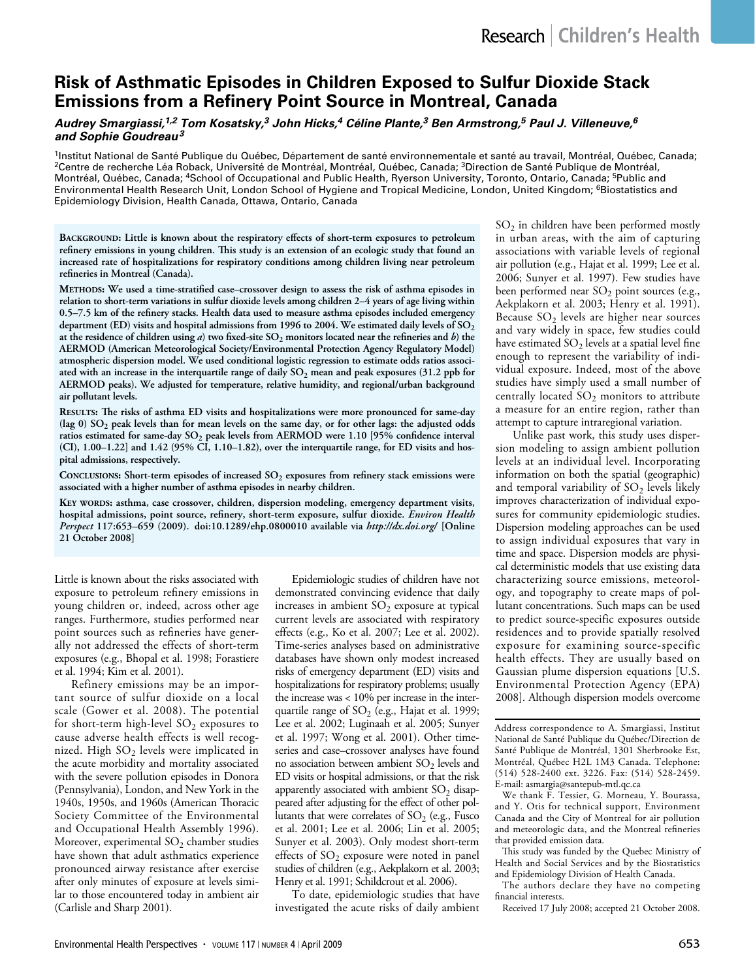# **Risk of Asthmatic Episodes in Children Exposed to Sulfur Dioxide Stack Emissions from a Refinery Point Source in Montreal, Canada**

## *Audrey Smargiassi,1,2 Tom Kosatsky,3 John Hicks,4 Céline Plante,3 Ben Armstrong,5 Paul J. Villeneuve,6 and Sophie Goudreau<sup>3</sup>*

<sup>1</sup>Institut National de Santé Publique du Québec, Département de santé environnementale et santé au travail, Montréal, Québec, Canada;<br><sup>2</sup>Centre de recherche Léa Roback, Université de Montréal, Montréal, Québec, Canada; <sup>3</sup> Montréal, Québec, Canada; 4School of Occupational and Public Health, Ryerson University, Toronto, Ontario, Canada; 5Public and Environmental Health Research Unit, London School of Hygiene and Tropical Medicine, London, United Kingdom; <sup>6</sup>Biostatistics and Epidemiology Division, Health Canada, Ottawa, Ontario, Canada

**Background: Little is known about the respiratory effects of short-term exposures to petroleum refinery emissions in young children. This study is an extension of an ecologic study that found an increased rate of hospitalizations for respiratory conditions among children living near petroleum refineries in Montreal (Canada).** 

**Methods: We used a time-stratified case–crossover design to assess the risk of asthma episodes in relation to short-term variations in sulfur dioxide levels among children 2–4 years of age living within 0.5–7.5 km of the refinery stacks. Health data used to measure asthma episodes included emergency**  department (ED) visits and hospital admissions from 1996 to 2004. We estimated daily levels of SO<sub>2</sub> **at the residence of children using** *a***) two fixed-site SO2 monitors located near the refineries and** *b***) the AERMOD (American Meteorological Society/Environmental Protection Agency Regulatory Model) atmospheric dispersion model. We used conditional logistic regression to estimate odds ratios associ**ated with an increase in the interquartile range of daily SO<sub>2</sub> mean and peak exposures (31.2 ppb for **AERMOD peaks). We adjusted for temperature, relative humidity, and regional/urban background air pollutant levels.** 

**Results: The risks of asthma ED visits and hospitalizations were more pronounced for same-day**  (lag 0) SO<sub>2</sub> peak levels than for mean levels on the same day, or for other lags: the adjusted odds ratios estimated for same-day SO<sub>2</sub> peak levels from AERMOD were 1.10 [95% confidence interval **(CI), 1.00–1.22] and 1.42 (95% CI, 1.10–1.82), over the interquartile range, for ED visits and hospital admissions, respectively.** 

CONCLUSIONS: Short-term episodes of increased SO<sub>2</sub> exposures from refinery stack emissions were **associated with a higher number of asthma episodes in nearby children.**

**Key words: asthma, case crossover, children, dispersion modeling, emergency department visits, hospital admissions, point source, refinery, short-term exposure, sulfur dioxide.** *Environ Health Perspect* **117:653–659 (2009). doi:10.1289/ehp.0800010 available via** *http://dx.doi.org/* **[Online 21 October 2008]**

Little is known about the risks associated with exposure to petroleum refinery emissions in young children or, indeed, across other age ranges. Furthermore, studies performed near point sources such as refineries have generally not addressed the effects of short-term exposures (e.g., Bhopal et al. 1998; Forastiere et al. 1994; Kim et al. 2001).

Refinery emissions may be an important source of sulfur dioxide on a local scale (Gower et al. 2008). The potential for short-term high-level  $SO_2$  exposures to cause adverse health effects is well recognized. High  $SO_2$  levels were implicated in the acute morbidity and mortality associated with the severe pollution episodes in Donora (Pennsylvania), London, and New York in the 1940s, 1950s, and 1960s (American Thoracic Society Committee of the Environmental and Occupational Health Assembly 1996). Moreover, experimental  $SO_2$  chamber studies have shown that adult asthmatics experience pronounced airway resistance after exercise after only minutes of exposure at levels similar to those encountered today in ambient air (Carlisle and Sharp 2001).

Epidemiologic studies of children have not demonstrated convincing evidence that daily increases in ambient  $SO_2$  exposure at typical current levels are associated with respiratory effects (e.g., Ko et al. 2007; Lee et al. 2002). Time-series analyses based on administrative databases have shown only modest increased risks of emergency department (ED) visits and hospitalizations for respiratory problems; usually the increase was < 10% per increase in the interquartile range of  $SO_2$  (e.g., Hajat et al. 1999; Lee et al. 2002; Luginaah et al. 2005; Sunyer et al. 1997; Wong et al. 2001). Other timeseries and case–crossover analyses have found no association between ambient  $SO<sub>2</sub>$  levels and ED visits or hospital admissions, or that the risk apparently associated with ambient  $SO<sub>2</sub>$  disappeared after adjusting for the effect of other pollutants that were correlates of  $SO<sub>2</sub>$  (e.g., Fusco et al. 2001; Lee et al. 2006; Lin et al. 2005; Sunyer et al. 2003). Only modest short-term effects of  $SO_2$  exposure were noted in panel studies of children (e.g., Aekplakorn et al. 2003; Henry et al. 1991; Schildcrout et al. 2006).

To date, epidemiologic studies that have investigated the acute risks of daily ambient

 $SO<sub>2</sub>$  in children have been performed mostly in urban areas, with the aim of capturing associations with variable levels of regional air pollution (e.g., Hajat et al. 1999; Lee et al. 2006; Sunyer et al. 1997). Few studies have been performed near  $SO_2$  point sources (e.g., Aekplakorn et al. 2003; Henry et al. 1991). Because SO<sub>2</sub> levels are higher near sources and vary widely in space, few studies could have estimated  $SO_2$  levels at a spatial level fine enough to represent the variability of individual exposure. Indeed, most of the above studies have simply used a small number of centrally located  $SO_2$  monitors to attribute a measure for an entire region, rather than attempt to capture intraregional variation.

Unlike past work, this study uses dispersion modeling to assign ambient pollution levels at an individual level. Incorporating information on both the spatial (geographic) and temporal variability of  $SO_2$  levels likely improves characterization of individual exposures for community epidemiologic studies. Dispersion modeling approaches can be used to assign individual exposures that vary in time and space. Dispersion models are physical deterministic models that use existing data characterizing source emissions, meteorology, and topography to create maps of pollutant concentrations. Such maps can be used to predict source-specific exposures outside residences and to provide spatially resolved exposure for examining source-specific health effects. They are usually based on Gaussian plume dispersion equations [U.S. Environmental Protection Agency (EPA) 2008]. Although dispersion models overcome

Address correspondence to A. Smargiassi, Institut National de Santé Publique du Québec/Direction de Santé Publique de Montréal, 1301 Sherbrooke Est, Montréal, Québec H2L 1M3 Canada. Telephone: (514) 528-2400 ext. 3226. Fax: (514) 528-2459. E-mail: asmargia@santepub-mtl.qc.ca

We thank F. Tessier, G. Morneau, Y. Bourassa, and Y. Otis for technical support, Environment Canada and the City of Montreal for air pollution and meteorologic data, and the Montreal refineries that provided emission data.

This study was funded by the Quebec Ministry of Health and Social Services and by the Biostatistics and Epidemiology Division of Health Canada.

The authors declare they have no competing financial interests.

Received 17 July 2008; accepted 21 October 2008.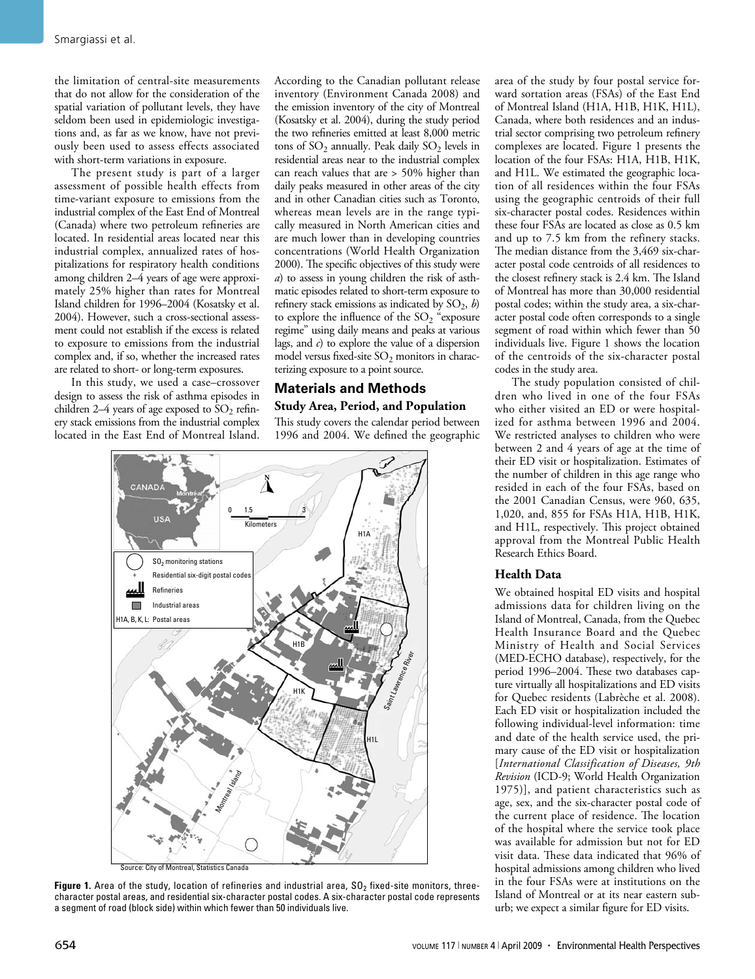the limitation of central-site measurements that do not allow for the consideration of the spatial variation of pollutant levels, they have seldom been used in epidemiologic investigations and, as far as we know, have not previously been used to assess effects associated with short-term variations in exposure.

The present study is part of a larger assessment of possible health effects from time-variant exposure to emissions from the industrial complex of the East End of Montreal (Canada) where two petroleum refineries are located. In residential areas located near this industrial complex, annualized rates of hospitalizations for respiratory health conditions among children 2–4 years of age were approximately 25% higher than rates for Montreal Island children for 1996–2004 (Kosatsky et al. 2004). However, such a cross-sectional assessment could not establish if the excess is related to exposure to emissions from the industrial complex and, if so, whether the increased rates are related to short- or long-term exposures.

In this study, we used a case–crossover design to assess the risk of asthma episodes in children 2–4 years of age exposed to  $SO_2$  refinery stack emissions from the industrial complex located in the East End of Montreal Island. According to the Canadian pollutant release inventory (Environment Canada 2008) and the emission inventory of the city of Montreal (Kosatsky et al. 2004), during the study period the two refineries emitted at least 8,000 metric tons of  $SO_2$  annually. Peak daily  $SO_2$  levels in residential areas near to the industrial complex can reach values that are > 50% higher than daily peaks measured in other areas of the city and in other Canadian cities such as Toronto, whereas mean levels are in the range typically measured in North American cities and are much lower than in developing countries concentrations (World Health Organization 2000). The specific objectives of this study were *a*) to assess in young children the risk of asthmatic episodes related to short-term exposure to refinery stack emissions as indicated by  $SO_2$ , *b*) to explore the influence of the  $SO_2$  "exposure regime" using daily means and peaks at various lags, and *c*) to explore the value of a dispersion model versus fixed-site  $SO_2$  monitors in characterizing exposure to a point source.

## **Materials and Methods**

## **Study Area, Period, and Population**

This study covers the calendar period between 1996 and 2004. We defined the geographic



Figure 1. Area of the study, location of refineries and industrial area, SO<sub>2</sub> fixed-site monitors, threecharacter postal areas, and residential six-character postal codes. A six-character postal code represents a segment of road (block side) within which fewer than 50 individuals live.

area of the study by four postal service forward sortation areas (FSAs) of the East End of Montreal Island (H1A, H1B, H1K, H1L), Canada, where both residences and an industrial sector comprising two petroleum refinery complexes are located. Figure 1 presents the location of the four FSAs: H1A, H1B, H1K, and H1L. We estimated the geographic location of all residences within the four FSAs using the geographic centroids of their full six-character postal codes. Residences within these four FSAs are located as close as 0.5 km and up to 7.5 km from the refinery stacks. The median distance from the 3,469 six-character postal code centroids of all residences to the closest refinery stack is 2.4 km. The Island of Montreal has more than 30,000 residential postal codes; within the study area, a six-character postal code often corresponds to a single segment of road within which fewer than 50 individuals live. Figure 1 shows the location of the centroids of the six-character postal codes in the study area.

The study population consisted of children who lived in one of the four FSAs who either visited an ED or were hospitalized for asthma between 1996 and 2004. We restricted analyses to children who were between 2 and 4 years of age at the time of their ED visit or hospitalization. Estimates of the number of children in this age range who resided in each of the four FSAs, based on the 2001 Canadian Census, were 960, 635, 1,020, and, 855 for FSAs H1A, H1B, H1K, and H1L, respectively. This project obtained approval from the Montreal Public Health Research Ethics Board.

### **Health Data**

We obtained hospital ED visits and hospital admissions data for children living on the Island of Montreal, Canada, from the Quebec Health Insurance Board and the Quebec Ministry of Health and Social Services (MED-ECHO database), respectively, for the period 1996–2004. These two databases capture virtually all hospitalizations and ED visits for Quebec residents (Labrèche et al. 2008). Each ED visit or hospitalization included the following individual-level information: time and date of the health service used, the primary cause of the ED visit or hospitalization [*International Classification of Diseases, 9th Revision* (ICD-9; World Health Organization 1975)], and patient characteristics such as age, sex, and the six-character postal code of the current place of residence. The location of the hospital where the service took place was available for admission but not for ED visit data. These data indicated that 96% of hospital admissions among children who lived in the four FSAs were at institutions on the Island of Montreal or at its near eastern suburb; we expect a similar figure for ED visits.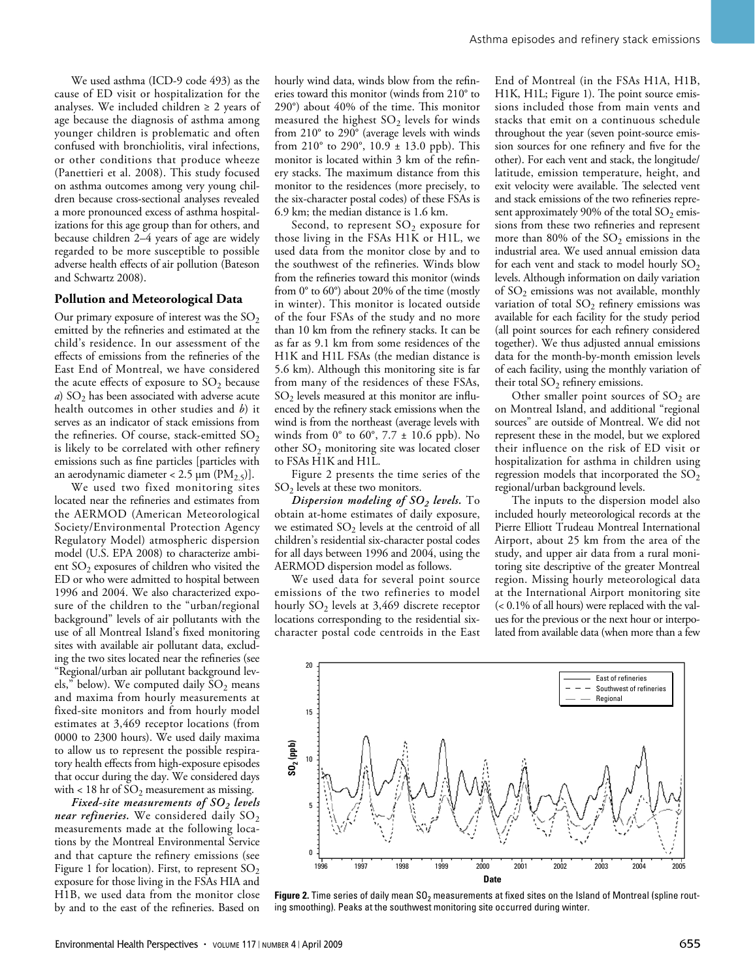We used asthma (ICD-9 code 493) as the cause of ED visit or hospitalization for the analyses. We included children  $\geq 2$  years of age because the diagnosis of asthma among younger children is problematic and often confused with bronchiolitis, viral infections, or other conditions that produce wheeze (Panettieri et al. 2008). This study focused on asthma outcomes among very young children because cross-sectional analyses revealed a more pronounced excess of asthma hospitalizations for this age group than for others, and because children 2–4 years of age are widely regarded to be more susceptible to possible adverse health effects of air pollution (Bateson and Schwartz 2008).

#### **Pollution and Meteorological Data**

Our primary exposure of interest was the  $SO_2$ emitted by the refineries and estimated at the child's residence. In our assessment of the effects of emissions from the refineries of the East End of Montreal, we have considered the acute effects of exposure to  $SO_2$  because *a*) SO<sub>2</sub> has been associated with adverse acute health outcomes in other studies and *b*) it serves as an indicator of stack emissions from the refineries. Of course, stack-emitted  $SO_2$ is likely to be correlated with other refinery emissions such as fine particles [particles with an aerodynamic diameter < 2.5  $\mu$ m (PM<sub>2.5</sub>)].

We used two fixed monitoring sites located near the refineries and estimates from the AERMOD (American Meteorological Society/Environmental Protection Agency Regulatory Model) atmospheric dispersion model (U.S. EPA 2008) to characterize ambient  $SO<sub>2</sub>$  exposures of children who visited the ED or who were admitted to hospital between 1996 and 2004. We also characterized exposure of the children to the "urban/regional background" levels of air pollutants with the use of all Montreal Island's fixed monitoring sites with available air pollutant data, excluding the two sites located near the refineries (see "Regional/urban air pollutant background levels," below). We computed daily  $SO_2$  means and maxima from hourly measurements at fixed-site monitors and from hourly model estimates at 3,469 receptor locations (from 0000 to 2300 hours). We used daily maxima to allow us to represent the possible respiratory health effects from high-exposure episodes that occur during the day. We considered days with < 18 hr of  $SO_2$  measurement as missing.

*Fixed-site measurements of SO<sub>2</sub> levels near refineries.* We considered daily  $SO_2$ measurements made at the following locations by the Montreal Environmental Service and that capture the refinery emissions (see Figure 1 for location). First, to represent  $SO_2$ exposure for those living in the FSAs HIA and H1B, we used data from the monitor close by and to the east of the refineries. Based on hourly wind data, winds blow from the refineries toward this monitor (winds from 210° to 290°) about 40% of the time. This monitor measured the highest  $SO<sub>2</sub>$  levels for winds from 210° to 290° (average levels with winds from 210 $^{\circ}$  to 290 $^{\circ}$ , 10.9  $\pm$  13.0 ppb). This monitor is located within 3 km of the refinery stacks. The maximum distance from this monitor to the residences (more precisely, to the six-character postal codes) of these FSAs is 6.9 km; the median distance is 1.6 km.

Second, to represent  $SO_2$  exposure for those living in the FSAs H1K or H1L, we used data from the monitor close by and to the southwest of the refineries. Winds blow from the refineries toward this monitor (winds from 0° to 60°) about 20% of the time (mostly in winter). This monitor is located outside of the four FSAs of the study and no more than 10 km from the refinery stacks. It can be as far as 9.1 km from some residences of the H1K and H1L FSAs (the median distance is 5.6 km). Although this monitoring site is far from many of the residences of these FSAs,  $SO<sub>2</sub>$  levels measured at this monitor are influenced by the refinery stack emissions when the wind is from the northeast (average levels with winds from  $0^\circ$  to  $60^\circ$ ,  $7.7 \pm 10.6$  ppb). No other  $SO_2$  monitoring site was located closer to FSAs H1K and H1L.

Figure 2 presents the time series of the  $SO<sub>2</sub>$  levels at these two monitors.

*Dispersion modeling of SO2 levels.* To obtain at-home estimates of daily exposure, we estimated  $SO_2$  levels at the centroid of all children's residential six-character postal codes for all days between 1996 and 2004, using the AERMOD dispersion model as follows.

We used data for several point source emissions of the two refineries to model hourly  $SO_2$  levels at 3,469 discrete receptor locations corresponding to the residential sixcharacter postal code centroids in the East

End of Montreal (in the FSAs H1A, H1B, H1K, H1L; Figure 1). The point source emissions included those from main vents and stacks that emit on a continuous schedule throughout the year (seven point-source emission sources for one refinery and five for the other). For each vent and stack, the longitude/ latitude, emission temperature, height, and exit velocity were available. The selected vent and stack emissions of the two refineries represent approximately 90% of the total  $SO_2$  emissions from these two refineries and represent more than 80% of the  $SO_2$  emissions in the industrial area. We used annual emission data for each vent and stack to model hourly  $SO<sub>2</sub>$ levels. Although information on daily variation of  $SO_2$  emissions was not available, monthly variation of total  $SO_2$  refinery emissions was available for each facility for the study period (all point sources for each refinery considered together). We thus adjusted annual emissions data for the month-by-month emission levels of each facility, using the monthly variation of their total  $SO_2$  refinery emissions.

Other smaller point sources of  $SO<sub>2</sub>$  are on Montreal Island, and additional "regional sources" are outside of Montreal. We did not represent these in the model, but we explored their influence on the risk of ED visit or hospitalization for asthma in children using regression models that incorporated the  $\mathrm{SO}_2$ regional/urban background levels.

The inputs to the dispersion model also included hourly meteorological records at the Pierre Elliott Trudeau Montreal International Airport, about 25 km from the area of the study, and upper air data from a rural monitoring site descriptive of the greater Montreal region. Missing hourly meteorological data at the International Airport monitoring site (< 0.1% of all hours) were replaced with the values for the previous or the next hour or interpolated from available data (when more than a few



Figure 2. Time series of daily mean SO<sub>2</sub> measurements at fixed sites on the Island of Montreal (spline routing smoothing). Peaks at the southwest monitoring site occurred during winter.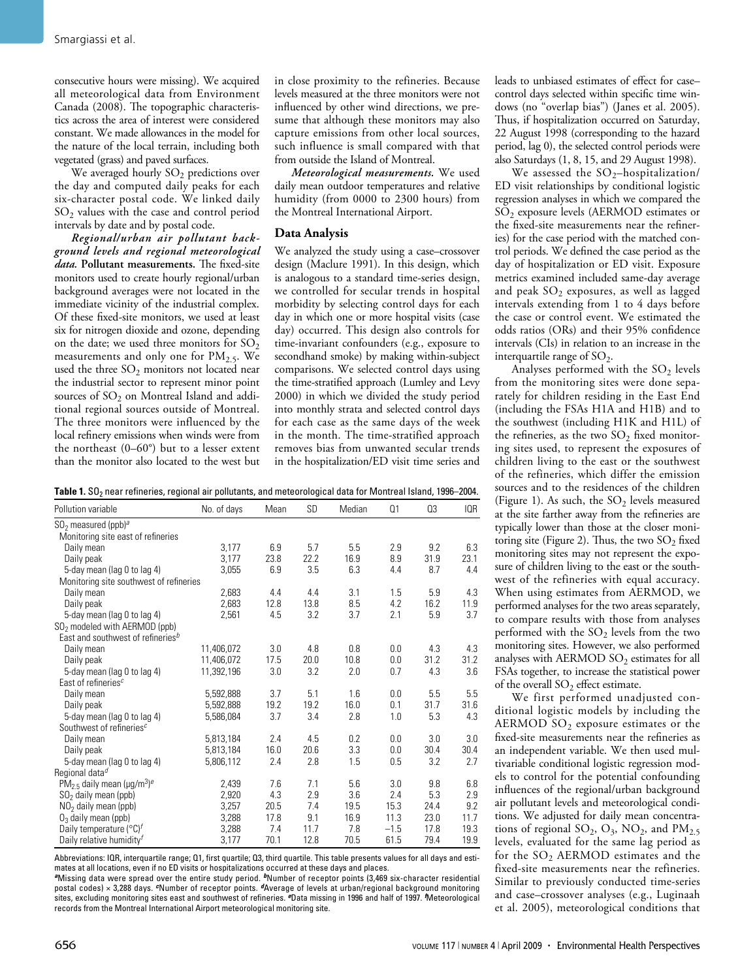consecutive hours were missing). We acquired all meteorological data from Environment Canada (2008). The topographic characteristics across the area of interest were considered constant. We made allowances in the model for the nature of the local terrain, including both vegetated (grass) and paved surfaces.

We averaged hourly  $SO_2$  predictions over the day and computed daily peaks for each six-character postal code. We linked daily SO2 values with the case and control period intervals by date and by postal code.

*Regional/urban air pollutant background levels and regional meteorological data.* **Pollutant measurements.** The fixed-site monitors used to create hourly regional/urban background averages were not located in the immediate vicinity of the industrial complex. Of these fixed-site monitors, we used at least six for nitrogen dioxide and ozone, depending on the date; we used three monitors for  $SO_2$ measurements and only one for  $PM<sub>2.5</sub>$ . We used the three  $SO_2$  monitors not located near the industrial sector to represent minor point sources of  $SO<sub>2</sub>$  on Montreal Island and additional regional sources outside of Montreal. The three monitors were influenced by the local refinery emissions when winds were from the northeast (0–60°) but to a lesser extent than the monitor also located to the west but

in close proximity to the refineries. Because levels measured at the three monitors were not influenced by other wind directions, we presume that although these monitors may also capture emissions from other local sources, such influence is small compared with that from outside the Island of Montreal.

*Meteorological measurements.* We used daily mean outdoor temperatures and relative humidity (from 0000 to 2300 hours) from the Montreal International Airport.

#### **Data Analysis**

We analyzed the study using a case–crossover design (Maclure 1991). In this design, which is analogous to a standard time-series design, we controlled for secular trends in hospital morbidity by selecting control days for each day in which one or more hospital visits (case day) occurred. This design also controls for time-invariant confounders (e.g., exposure to secondhand smoke) by making within-subject comparisons. We selected control days using the time-stratified approach (Lumley and Levy 2000) in which we divided the study period into monthly strata and selected control days for each case as the same days of the week in the month. The time-stratified approach removes bias from unwanted secular trends in the hospitalization/ED visit time series and

| Table 1. SO <sub>2</sub> near refineries, regional air pollutants, and meteorological data for Montreal Island, 1996–2004. |
|----------------------------------------------------------------------------------------------------------------------------|
|----------------------------------------------------------------------------------------------------------------------------|

| Pollution variable                                      | No. of days | Mean | SD   | Median | Q1     | Q <sub>3</sub> | IQR  |
|---------------------------------------------------------|-------------|------|------|--------|--------|----------------|------|
| $SO2$ measured (ppb) <sup>a</sup>                       |             |      |      |        |        |                |      |
| Monitoring site east of refineries                      |             |      |      |        |        |                |      |
| Daily mean                                              | 3,177       | 6.9  | 5.7  | 5.5    | 2.9    | 9.2            | 6.3  |
| Daily peak                                              | 3,177       | 23.8 | 22.2 | 16.9   | 8.9    | 31.9           | 23.1 |
| 5-day mean (lag 0 to lag 4)                             | 3,055       | 6.9  | 3.5  | 6.3    | 4.4    | 8.7            | 4.4  |
| Monitoring site southwest of refineries                 |             |      |      |        |        |                |      |
| Daily mean                                              | 2,683       | 4.4  | 4.4  | 3.1    | 1.5    | 5.9            | 4.3  |
| Daily peak                                              | 2.683       | 12.8 | 13.8 | 8.5    | 4.2    | 16.2           | 11.9 |
| 5-day mean (lag 0 to lag 4)                             | 2,561       | 4.5  | 3.2  | 3.7    | 2.1    | 5.9            | 3.7  |
| SO <sub>2</sub> modeled with AERMOD (ppb)               |             |      |      |        |        |                |      |
| East and southwest of refineries <sup>b</sup>           |             |      |      |        |        |                |      |
| Daily mean                                              | 11.406.072  | 3.0  | 4.8  | 0.8    | 0.0    | 4.3            | 4.3  |
| Daily peak                                              | 11,406,072  | 17.5 | 20.0 | 10.8   | 0.0    | 31.2           | 31.2 |
| 5-day mean (lag 0 to lag 4)                             | 11,392,196  | 3.0  | 3.2  | 2.0    | 0.7    | 4.3            | 3.6  |
| East of refineries <sup>c</sup>                         |             |      |      |        |        |                |      |
| Daily mean                                              | 5,592,888   | 3.7  | 5.1  | 1.6    | 0.0    | 5.5            | 5.5  |
| Daily peak                                              | 5.592.888   | 19.2 | 19.2 | 16.0   | 0.1    | 31.7           | 31.6 |
| 5-day mean (lag 0 to lag 4)                             | 5,586,084   | 3.7  | 3.4  | 2.8    | 1.0    | 5.3            | 4.3  |
| Southwest of refineries <sup>c</sup>                    |             |      |      |        |        |                |      |
| Daily mean                                              | 5,813,184   | 2.4  | 4.5  | 0.2    | 0.0    | 3.0            | 3.0  |
| Daily peak                                              | 5,813,184   | 16.0 | 20.6 | 3.3    | 0.0    | 30.4           | 30.4 |
| 5-day mean (lag 0 to lag 4)                             | 5,806,112   | 2.4  | 2.8  | 1.5    | 0.5    | 3.2            | 2.7  |
| Regional data <sup>d</sup>                              |             |      |      |        |        |                |      |
| $PM_{2.5}$ daily mean (µg/m <sup>3</sup> ) <sup>e</sup> | 2,439       | 7.6  | 7.1  | 5.6    | 3.0    | 9.8            | 6.8  |
| $SO2$ daily mean (ppb)                                  | 2,920       | 4.3  | 2.9  | 3.6    | 2.4    | 5.3            | 2.9  |
| $NO2$ daily mean (ppb)                                  | 3,257       | 20.5 | 7.4  | 19.5   | 15.3   | 24.4           | 9.2  |
| $O_3$ daily mean (ppb)                                  | 3,288       | 17.8 | 9.1  | 16.9   | 11.3   | 23.0           | 11.7 |
| Daily temperature $({}^{\circ}C)^{f}$                   | 3,288       | 7.4  | 11.7 | 7.8    | $-1.5$ | 17.8           | 19.3 |
| Daily relative humidity <sup>f</sup>                    | 3,177       | 70.1 | 12.8 | 70.5   | 61.5   | 79.4           | 19.9 |

Abbreviations: IQR, interquartile range; Q1, first quartile; Q3, third quartile. This table presents values for all days and estimates at all locations, even if no ED visits or hospitalizations occurred at these days and places.

*<sup>a</sup>*Missing data were spread over the entire study period. *<sup>b</sup>*Number of receptor points (3,469 six-character residential postal codes) × 3,288 days. *c*Number of receptor points. *d*Average of levels at urban/regional background monitoring sites, excluding monitoring sites east and southwest of refineries. *e*Data missing in 1996 and half of 1997. *<sup>f</sup>* Meteorological records from the Montreal International Airport meteorological monitoring site.

leads to unbiased estimates of effect for case– control days selected within specific time windows (no "overlap bias") (Janes et al. 2005). Thus, if hospitalization occurred on Saturday, 22 August 1998 (corresponding to the hazard period, lag 0), the selected control periods were also Saturdays (1, 8, 15, and 29 August 1998).

We assessed the  $SO_2$ -hospitalization/ ED visit relationships by conditional logistic regression analyses in which we compared the SO2 exposure levels (AERMOD estimates or the fixed-site measurements near the refineries) for the case period with the matched control periods. We defined the case period as the day of hospitalization or ED visit. Exposure metrics examined included same-day average and peak  $SO_2$  exposures, as well as lagged intervals extending from 1 to 4 days before the case or control event. We estimated the odds ratios (ORs) and their 95% confidence intervals (CIs) in relation to an increase in the interquartile range of  $SO_2$ .

Analyses performed with the  $SO_2$  levels from the monitoring sites were done separately for children residing in the East End (including the FSAs H1A and H1B) and to the southwest (including H1K and H1L) of the refineries, as the two  $SO_2$  fixed monitoring sites used, to represent the exposures of children living to the east or the southwest of the refineries, which differ the emission sources and to the residences of the children (Figure 1). As such, the  $SO_2$  levels measured at the site farther away from the refineries are typically lower than those at the closer monitoring site (Figure 2). Thus, the two  $SO_2$  fixed monitoring sites may not represent the exposure of children living to the east or the southwest of the refineries with equal accuracy. When using estimates from AERMOD, we performed analyses for the two areas separately, to compare results with those from analyses performed with the  $SO_2$  levels from the two monitoring sites. However, we also performed analyses with AERMOD  $SO_2$  estimates for all FSAs together, to increase the statistical power of the overall  $SO_2$  effect estimate.

We first performed unadjusted conditional logistic models by including the AERMOD  $SO_2$  exposure estimates or the fixed-site measurements near the refineries as an independent variable. We then used multivariable conditional logistic regression models to control for the potential confounding influences of the regional/urban background air pollutant levels and meteorological conditions. We adjusted for daily mean concentrations of regional  $SO_2$ ,  $O_3$ ,  $NO_2$ , and  $PM_{2.5}$ levels, evaluated for the same lag period as for the SO<sub>2</sub> AERMOD estimates and the fixed-site measurements near the refineries. Similar to previously conducted time-series and case–crossover analyses (e.g., Luginaah et al. 2005), meteorological conditions that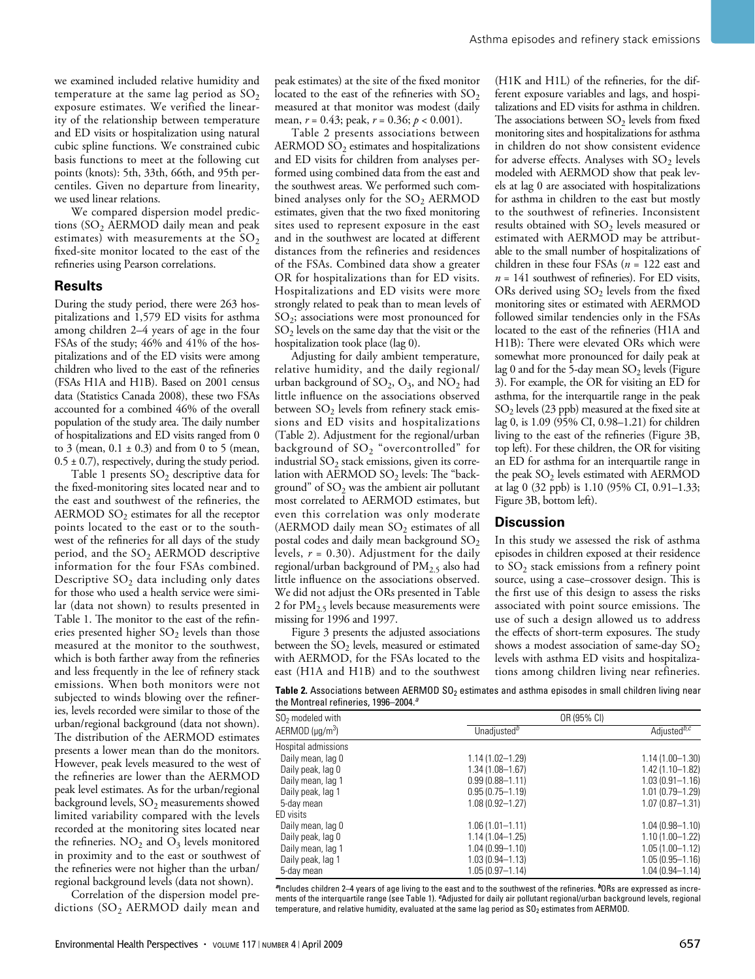we examined included relative humidity and temperature at the same lag period as  $SO_2$ exposure estimates. We verified the linearity of the relationship between temperature and ED visits or hospitalization using natural cubic spline functions. We constrained cubic basis functions to meet at the following cut points (knots): 5th, 33th, 66th, and 95th percentiles. Given no departure from linearity, we used linear relations.

We compared dispersion model predictions  $(SO<sub>2</sub>$  AERMOD daily mean and peak estimates) with measurements at the  $SO_2$ fixed-site monitor located to the east of the refineries using Pearson correlations.

#### **Results**

During the study period, there were 263 hospitalizations and 1,579 ED visits for asthma among children 2–4 years of age in the four FSAs of the study; 46% and 41% of the hospitalizations and of the ED visits were among children who lived to the east of the refineries (FSAs H1A and H1B). Based on 2001 census data (Statistics Canada 2008), these two FSAs accounted for a combined 46% of the overall population of the study area. The daily number of hospitalizations and ED visits ranged from 0 to 3 (mean,  $0.1 \pm 0.3$ ) and from 0 to 5 (mean,  $0.5 \pm 0.7$ ), respectively, during the study period.

Table 1 presents  $SO_2$  descriptive data for the fixed-monitoring sites located near and to the east and southwest of the refineries, the AERMOD  $SO_2$  estimates for all the receptor points located to the east or to the southwest of the refineries for all days of the study period, and the  $SO<sub>2</sub>$  AERMOD descriptive information for the four FSAs combined. Descriptive  $SO<sub>2</sub>$  data including only dates for those who used a health service were similar (data not shown) to results presented in Table 1. The monitor to the east of the refineries presented higher  $SO<sub>2</sub>$  levels than those measured at the monitor to the southwest, which is both farther away from the refineries and less frequently in the lee of refinery stack emissions. When both monitors were not subjected to winds blowing over the refineries, levels recorded were similar to those of the urban/regional background (data not shown). The distribution of the AERMOD estimates presents a lower mean than do the monitors. However, peak levels measured to the west of the refineries are lower than the AERMOD peak level estimates. As for the urban/regional background levels,  $SO_2$  measurements showed limited variability compared with the levels recorded at the monitoring sites located near the refineries.  $NO<sub>2</sub>$  and  $O<sub>3</sub>$  levels monitored in proximity and to the east or southwest of the refineries were not higher than the urban/ regional background levels (data not shown).

Correlation of the dispersion model predictions  $(SO<sub>2</sub> AERMOD$  daily mean and peak estimates) at the site of the fixed monitor located to the east of the refineries with  $SO_2$ measured at that monitor was modest (daily mean, *r* = 0.43; peak, *r* = 0.36; *p* < 0.001).

Table 2 presents associations between  $AERMOD SO<sub>2</sub>$  estimates and hospitalizations and ED visits for children from analyses performed using combined data from the east and the southwest areas. We performed such combined analyses only for the  $SO<sub>2</sub> AERMOD$ estimates, given that the two fixed monitoring sites used to represent exposure in the east and in the southwest are located at different distances from the refineries and residences of the FSAs. Combined data show a greater OR for hospitalizations than for ED visits. Hospitalizations and ED visits were more strongly related to peak than to mean levels of SO2; associations were most pronounced for  $SO<sub>2</sub>$  levels on the same day that the visit or the hospitalization took place (lag 0).

Adjusting for daily ambient temperature, relative humidity, and the daily regional/ urban background of  $SO_2$ ,  $O_3$ , and  $NO_2$  had little influence on the associations observed between  $SO_2$  levels from refinery stack emissions and ED visits and hospitalizations (Table 2). Adjustment for the regional/urban background of SO<sub>2</sub> "overcontrolled" for industrial  $SO_2$  stack emissions, given its correlation with AERMOD  $SO_2$  levels: The "background" of  $SO<sub>2</sub>$  was the ambient air pollutant most correlated to AERMOD estimates, but even this correlation was only moderate (AERMOD daily mean  $SO_2$  estimates of all postal codes and daily mean background  $SO<sub>2</sub>$ levels,  $r = 0.30$ ). Adjustment for the daily regional/urban background of  $PM<sub>2.5</sub>$  also had little influence on the associations observed. We did not adjust the ORs presented in Table 2 for  $PM_{2.5}$  levels because measurements were missing for 1996 and 1997.

Figure 3 presents the adjusted associations between the  $SO_2$  levels, measured or estimated with AERMOD, for the FSAs located to the east (H1A and H1B) and to the southwest

(H1K and H1L) of the refineries, for the different exposure variables and lags, and hospitalizations and ED visits for asthma in children. The associations between  $SO<sub>2</sub>$  levels from fixed monitoring sites and hospitalizations for asthma in children do not show consistent evidence for adverse effects. Analyses with  $SO<sub>2</sub>$  levels modeled with AERMOD show that peak levels at lag 0 are associated with hospitalizations for asthma in children to the east but mostly to the southwest of refineries. Inconsistent results obtained with SO<sub>2</sub> levels measured or estimated with AERMOD may be attributable to the small number of hospitalizations of children in these four FSAs (*n* = 122 east and  $n = 141$  southwest of refineries). For ED visits, ORs derived using  $SO_2$  levels from the fixed monitoring sites or estimated with AERMOD followed similar tendencies only in the FSAs located to the east of the refineries (H1A and H1B): There were elevated ORs which were somewhat more pronounced for daily peak at lag 0 and for the  $\bar{5}$ -day mean SO<sub>2</sub> levels (Figure 3). For example, the OR for visiting an ED for asthma, for the interquartile range in the peak  $SO<sub>2</sub>$  levels (23 ppb) measured at the fixed site at lag 0, is 1.09 (95% CI, 0.98–1.21) for children living to the east of the refineries (Figure 3B, top left). For these children, the OR for visiting an ED for asthma for an interquartile range in the peak  $SO_2$  levels estimated with AERMOD at lag 0 (32 ppb) is 1.10 (95% CI, 0.91–1.33; Figure 3B, bottom left).

#### **Discussion**

In this study we assessed the risk of asthma episodes in children exposed at their residence to  $SO_2$  stack emissions from a refinery point source, using a case–crossover design. This is the first use of this design to assess the risks associated with point source emissions. The use of such a design allowed us to address the effects of short-term exposures. The study shows a modest association of same-day  $SO_2$ levels with asthma ED visits and hospitalizations among children living near refineries.

Table 2. Associations between AERMOD SO<sub>2</sub> estimates and asthma episodes in small children living near the Montreal refineries, 1996–2004. *a*

| $SO2$ modeled with          | OR (95% CI)             |                         |  |  |  |
|-----------------------------|-------------------------|-------------------------|--|--|--|
| AERMOD (µq/m <sup>3</sup> ) | Unadjusted <sup>b</sup> | Adjusted <sup>b,c</sup> |  |  |  |
| Hospital admissions         |                         |                         |  |  |  |
| Daily mean, lag 0           | $1.14(1.02 - 1.29)$     | $1.14(1.00 - 1.30)$     |  |  |  |
| Daily peak, lag 0           | $1.34(1.08 - 1.67)$     | $1.42(1.10 - 1.82)$     |  |  |  |
| Daily mean, lag 1           | $0.99(0.88 - 1.11)$     | $1.03(0.91 - 1.16)$     |  |  |  |
| Daily peak, lag 1           | $0.95(0.75 - 1.19)$     | $1.01(0.79 - 1.29)$     |  |  |  |
| 5-day mean                  | $1.08(0.92 - 1.27)$     | $1.07(0.87 - 1.31)$     |  |  |  |
| ED visits                   |                         |                         |  |  |  |
| Daily mean, lag 0           | $1.06(1.01 - 1.11)$     | $1.04(0.98 - 1.10)$     |  |  |  |
| Daily peak, lag 0           | $1.14(1.04 - 1.25)$     | $1.10(1.00 - 1.22)$     |  |  |  |
| Daily mean, lag 1           | $1.04(0.99 - 1.10)$     | $1.05(1.00 - 1.12)$     |  |  |  |
| Daily peak, lag 1           | $1.03(0.94 - 1.13)$     | $1.05(0.95 - 1.16)$     |  |  |  |
| 5-day mean                  | $1.05(0.97 - 1.14)$     | $1.04(0.94 - 1.14)$     |  |  |  |

*<sup>a</sup>*Includes children 2–4 years of age living to the east and to the southwest of the refineries. *<sup>b</sup>*ORs are expressed as increments of the interquartile range (see Table 1). *<sup>c</sup>*Adjusted for daily air pollutant regional/urban background levels, regional temperature, and relative humidity, evaluated at the same lag period as  $\mathsf{SO}_2$  estimates from AERMOD.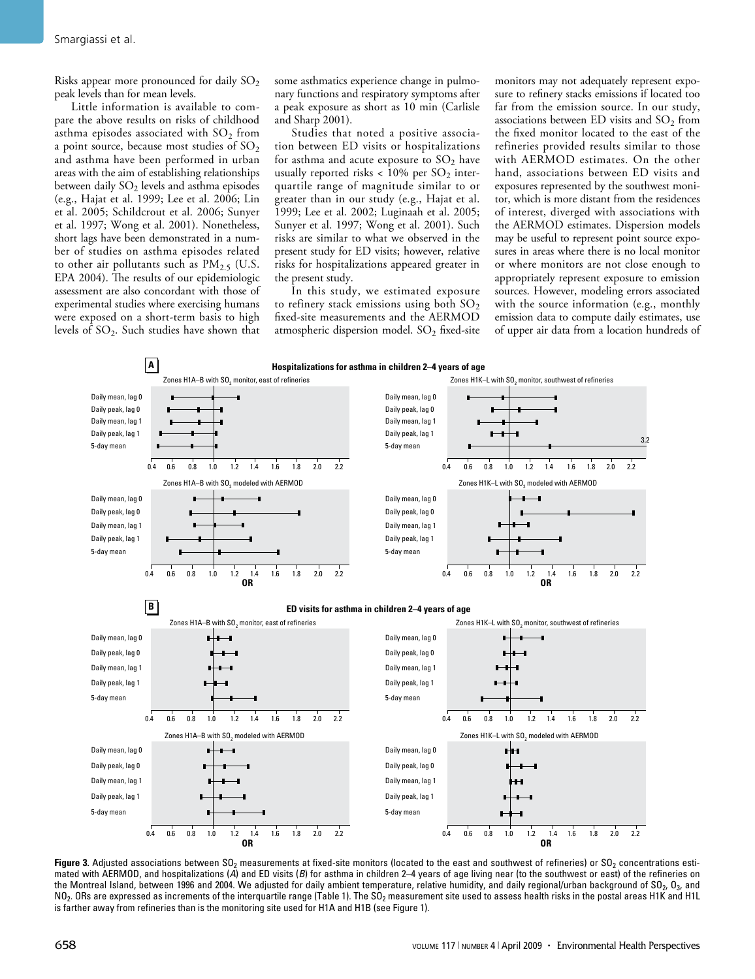Risks appear more pronounced for daily  $SO_2$ peak levels than for mean levels.

Little information is available to compare the above results on risks of childhood asthma episodes associated with  $SO<sub>2</sub>$  from a point source, because most studies of  $SO<sub>2</sub>$ and asthma have been performed in urban areas with the aim of establishing relationships between daily  $SO_2$  levels and asthma episodes (e.g., Hajat et al. 1999; Lee et al. 2006; Lin et al. 2005; Schildcrout et al. 2006; Sunyer et al. 1997; Wong et al. 2001). Nonetheless, short lags have been demonstrated in a number of studies on asthma episodes related to other air pollutants such as  $PM_{2.5}$  (U.S. EPA 2004). The results of our epidemiologic assessment are also concordant with those of experimental studies where exercising humans were exposed on a short-term basis to high levels of  $SO_2$ . Such studies have shown that some asthmatics experience change in pulmonary functions and respiratory symptoms after a peak exposure as short as 10 min (Carlisle and Sharp 2001).

Studies that noted a positive association between ED visits or hospitalizations for asthma and acute exposure to  $SO_2$  have usually reported risks <  $10\%$  per  $SO_2$  interquartile range of magnitude similar to or greater than in our study (e.g., Hajat et al. 1999; Lee et al. 2002; Luginaah et al. 2005; Sunyer et al. 1997; Wong et al. 2001). Such risks are similar to what we observed in the present study for ED visits; however, relative risks for hospitalizations appeared greater in the present study.

In this study, we estimated exposure to refinery stack emissions using both  $SO_2$ fixed-site measurements and the AERMOD atmospheric dispersion model.  $SO_2$  fixed-site

monitors may not adequately represent exposure to refinery stacks emissions if located too far from the emission source. In our study, associations between ED visits and  $SO<sub>2</sub>$  from the fixed monitor located to the east of the refineries provided results similar to those with AERMOD estimates. On the other hand, associations between ED visits and exposures represented by the southwest monitor, which is more distant from the residences of interest, diverged with associations with the AERMOD estimates. Dispersion models may be useful to represent point source exposures in areas where there is no local monitor or where monitors are not close enough to appropriately represent exposure to emission sources. However, modeling errors associated with the source information (e.g., monthly emission data to compute daily estimates, use of upper air data from a location hundreds of



Figure 3. Adjusted associations between SO<sub>2</sub> measurements at fixed-site monitors (located to the east and southwest of refineries) or SO<sub>2</sub> concentrations estimated with AERMOD, and hospitalizations (A) and ED visits (B) for asthma in children 2-4 years of age living near (to the southwest or east) of the refineries on the Montreal Island, between 1996 and 2004. We adjusted for daily ambient temperature, relative humidity, and daily regional/urban background of SO<sub>2</sub>, O<sub>3</sub>, and  $NO<sub>2</sub>$ . ORs are expressed as increments of the interquartile range (Table 1). The SO<sub>2</sub> measurement site used to assess health risks in the postal areas H1K and H1L is farther away from refineries than is the monitoring site used for H1A and H1B (see Figure 1).